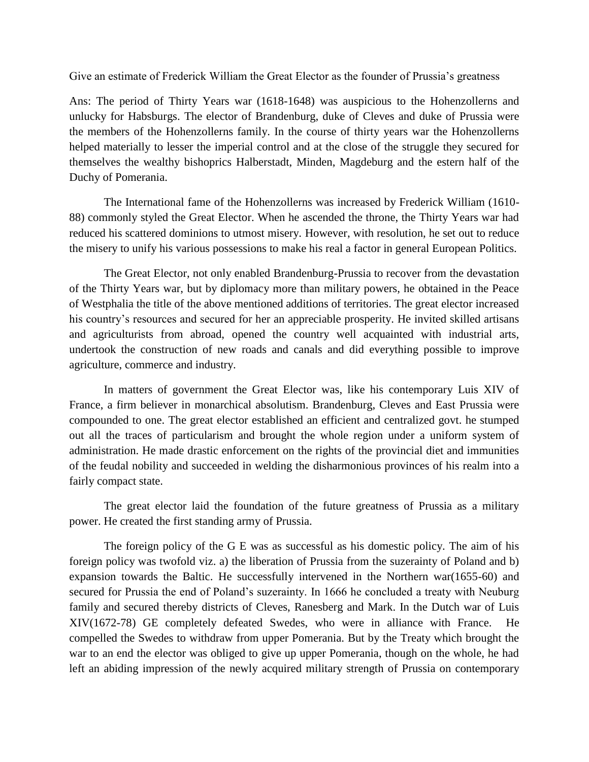Give an estimate of Frederick William the Great Elector as the founder of Prussia's greatness

Ans: The period of Thirty Years war (1618-1648) was auspicious to the Hohenzollerns and unlucky for Habsburgs. The elector of Brandenburg, duke of Cleves and duke of Prussia were the members of the Hohenzollerns family. In the course of thirty years war the Hohenzollerns helped materially to lesser the imperial control and at the close of the struggle they secured for themselves the wealthy bishoprics Halberstadt, Minden, Magdeburg and the estern half of the Duchy of Pomerania.

The International fame of the Hohenzollerns was increased by Frederick William (1610- 88) commonly styled the Great Elector. When he ascended the throne, the Thirty Years war had reduced his scattered dominions to utmost misery. However, with resolution, he set out to reduce the misery to unify his various possessions to make his real a factor in general European Politics.

The Great Elector, not only enabled Brandenburg-Prussia to recover from the devastation of the Thirty Years war, but by diplomacy more than military powers, he obtained in the Peace of Westphalia the title of the above mentioned additions of territories. The great elector increased his country's resources and secured for her an appreciable prosperity. He invited skilled artisans and agriculturists from abroad, opened the country well acquainted with industrial arts, undertook the construction of new roads and canals and did everything possible to improve agriculture, commerce and industry.

In matters of government the Great Elector was, like his contemporary Luis XIV of France, a firm believer in monarchical absolutism. Brandenburg, Cleves and East Prussia were compounded to one. The great elector established an efficient and centralized govt. he stumped out all the traces of particularism and brought the whole region under a uniform system of administration. He made drastic enforcement on the rights of the provincial diet and immunities of the feudal nobility and succeeded in welding the disharmonious provinces of his realm into a fairly compact state.

The great elector laid the foundation of the future greatness of Prussia as a military power. He created the first standing army of Prussia.

The foreign policy of the G E was as successful as his domestic policy. The aim of his foreign policy was twofold viz. a) the liberation of Prussia from the suzerainty of Poland and b) expansion towards the Baltic. He successfully intervened in the Northern war(1655-60) and secured for Prussia the end of Poland's suzerainty. In 1666 he concluded a treaty with Neuburg family and secured thereby districts of Cleves, Ranesberg and Mark. In the Dutch war of Luis XIV(1672-78) GE completely defeated Swedes, who were in alliance with France. He compelled the Swedes to withdraw from upper Pomerania. But by the Treaty which brought the war to an end the elector was obliged to give up upper Pomerania, though on the whole, he had left an abiding impression of the newly acquired military strength of Prussia on contemporary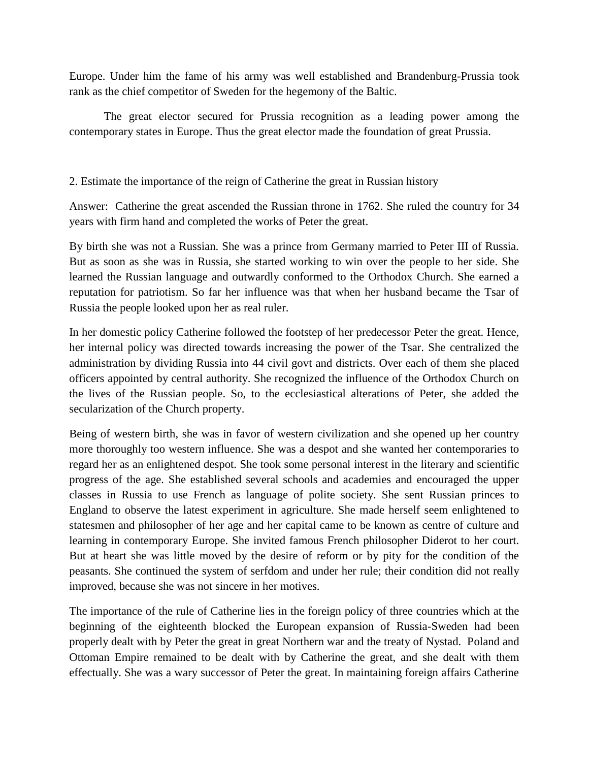Europe. Under him the fame of his army was well established and Brandenburg-Prussia took rank as the chief competitor of Sweden for the hegemony of the Baltic.

The great elector secured for Prussia recognition as a leading power among the contemporary states in Europe. Thus the great elector made the foundation of great Prussia.

2. Estimate the importance of the reign of Catherine the great in Russian history

Answer: Catherine the great ascended the Russian throne in 1762. She ruled the country for 34 years with firm hand and completed the works of Peter the great.

By birth she was not a Russian. She was a prince from Germany married to Peter III of Russia. But as soon as she was in Russia, she started working to win over the people to her side. She learned the Russian language and outwardly conformed to the Orthodox Church. She earned a reputation for patriotism. So far her influence was that when her husband became the Tsar of Russia the people looked upon her as real ruler.

In her domestic policy Catherine followed the footstep of her predecessor Peter the great. Hence, her internal policy was directed towards increasing the power of the Tsar. She centralized the administration by dividing Russia into 44 civil govt and districts. Over each of them she placed officers appointed by central authority. She recognized the influence of the Orthodox Church on the lives of the Russian people. So, to the ecclesiastical alterations of Peter, she added the secularization of the Church property.

Being of western birth, she was in favor of western civilization and she opened up her country more thoroughly too western influence. She was a despot and she wanted her contemporaries to regard her as an enlightened despot. She took some personal interest in the literary and scientific progress of the age. She established several schools and academies and encouraged the upper classes in Russia to use French as language of polite society. She sent Russian princes to England to observe the latest experiment in agriculture. She made herself seem enlightened to statesmen and philosopher of her age and her capital came to be known as centre of culture and learning in contemporary Europe. She invited famous French philosopher Diderot to her court. But at heart she was little moved by the desire of reform or by pity for the condition of the peasants. She continued the system of serfdom and under her rule; their condition did not really improved, because she was not sincere in her motives.

The importance of the rule of Catherine lies in the foreign policy of three countries which at the beginning of the eighteenth blocked the European expansion of Russia-Sweden had been properly dealt with by Peter the great in great Northern war and the treaty of Nystad. Poland and Ottoman Empire remained to be dealt with by Catherine the great, and she dealt with them effectually. She was a wary successor of Peter the great. In maintaining foreign affairs Catherine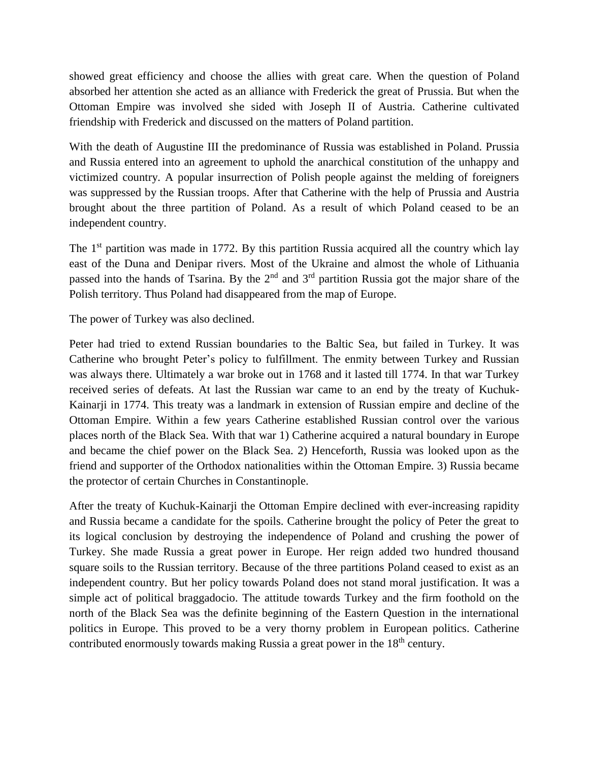showed great efficiency and choose the allies with great care. When the question of Poland absorbed her attention she acted as an alliance with Frederick the great of Prussia. But when the Ottoman Empire was involved she sided with Joseph II of Austria. Catherine cultivated friendship with Frederick and discussed on the matters of Poland partition.

With the death of Augustine III the predominance of Russia was established in Poland. Prussia and Russia entered into an agreement to uphold the anarchical constitution of the unhappy and victimized country. A popular insurrection of Polish people against the melding of foreigners was suppressed by the Russian troops. After that Catherine with the help of Prussia and Austria brought about the three partition of Poland. As a result of which Poland ceased to be an independent country.

The  $1<sup>st</sup>$  partition was made in 1772. By this partition Russia acquired all the country which lay east of the Duna and Denipar rivers. Most of the Ukraine and almost the whole of Lithuania passed into the hands of Tsarina. By the 2<sup>nd</sup> and 3<sup>rd</sup> partition Russia got the major share of the Polish territory. Thus Poland had disappeared from the map of Europe.

The power of Turkey was also declined.

Peter had tried to extend Russian boundaries to the Baltic Sea, but failed in Turkey. It was Catherine who brought Peter's policy to fulfillment. The enmity between Turkey and Russian was always there. Ultimately a war broke out in 1768 and it lasted till 1774. In that war Turkey received series of defeats. At last the Russian war came to an end by the treaty of Kuchuk-Kainarji in 1774. This treaty was a landmark in extension of Russian empire and decline of the Ottoman Empire. Within a few years Catherine established Russian control over the various places north of the Black Sea. With that war 1) Catherine acquired a natural boundary in Europe and became the chief power on the Black Sea. 2) Henceforth, Russia was looked upon as the friend and supporter of the Orthodox nationalities within the Ottoman Empire. 3) Russia became the protector of certain Churches in Constantinople.

After the treaty of Kuchuk-Kainarji the Ottoman Empire declined with ever-increasing rapidity and Russia became a candidate for the spoils. Catherine brought the policy of Peter the great to its logical conclusion by destroying the independence of Poland and crushing the power of Turkey. She made Russia a great power in Europe. Her reign added two hundred thousand square soils to the Russian territory. Because of the three partitions Poland ceased to exist as an independent country. But her policy towards Poland does not stand moral justification. It was a simple act of political braggadocio. The attitude towards Turkey and the firm foothold on the north of the Black Sea was the definite beginning of the Eastern Question in the international politics in Europe. This proved to be a very thorny problem in European politics. Catherine contributed enormously towards making Russia a great power in the 18<sup>th</sup> century.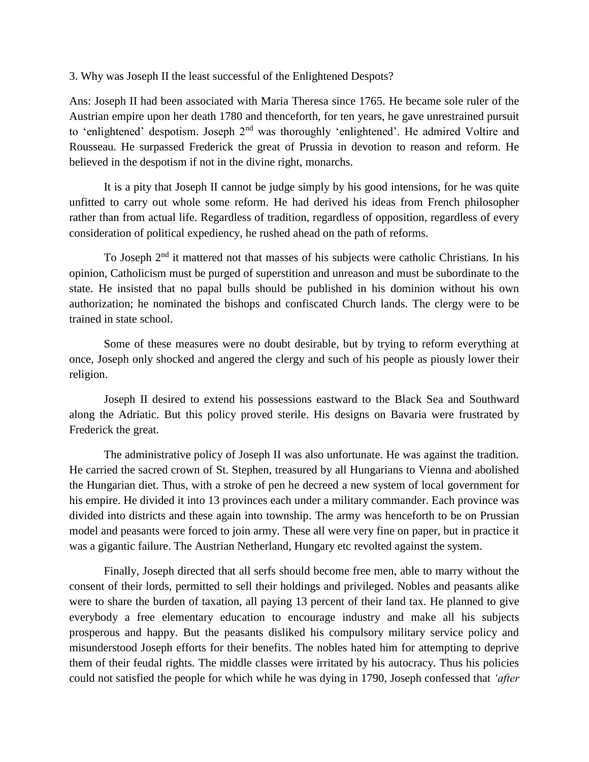3. Why was Joseph II the least successful of the Enlightened Despots?

Ans: Joseph II had been associated with Maria Theresa since 1765. He became sole ruler of the Austrian empire upon her death 1780 and thenceforth, for ten years, he gave unrestrained pursuit to 'enlightened' despotism. Joseph 2<sup>nd</sup> was thoroughly 'enlightened'. He admired Voltire and Rousseau. He surpassed Frederick the great of Prussia in devotion to reason and reform. He believed in the despotism if not in the divine right, monarchs.

It is a pity that Joseph II cannot be judge simply by his good intensions, for he was quite unfitted to carry out whole some reform. He had derived his ideas from French philosopher rather than from actual life. Regardless of tradition, regardless of opposition, regardless of every consideration of political expediency, he rushed ahead on the path of reforms.

To Joseph 2<sup>nd</sup> it mattered not that masses of his subjects were catholic Christians. In his opinion, Catholicism must be purged of superstition and unreason and must be subordinate to the state. He insisted that no papal bulls should be published in his dominion without his own authorization; he nominated the bishops and confiscated Church lands. The clergy were to be trained in state school.

Some of these measures were no doubt desirable, but by trying to reform everything at once, Joseph only shocked and angered the clergy and such of his people as piously lower their religion.

Joseph II desired to extend his possessions eastward to the Black Sea and Southward along the Adriatic. But this policy proved sterile. His designs on Bavaria were frustrated by Frederick the great.

The administrative policy of Joseph II was also unfortunate. He was against the tradition. He carried the sacred crown of St. Stephen, treasured by all Hungarians to Vienna and abolished the Hungarian diet. Thus, with a stroke of pen he decreed a new system of local government for his empire. He divided it into 13 provinces each under a military commander. Each province was divided into districts and these again into township. The army was henceforth to be on Prussian model and peasants were forced to join army. These all were very fine on paper, but in practice it was a gigantic failure. The Austrian Netherland, Hungary etc revolted against the system.

Finally, Joseph directed that all serfs should become free men, able to marry without the consent of their lords, permitted to sell their holdings and privileged. Nobles and peasants alike were to share the burden of taxation, all paying 13 percent of their land tax. He planned to give everybody a free elementary education to encourage industry and make all his subjects prosperous and happy. But the peasants disliked his compulsory military service policy and misunderstood Joseph efforts for their benefits. The nobles hated him for attempting to deprive them of their feudal rights. The middle classes were irritated by his autocracy. Thus his policies could not satisfied the people for which while he was dying in 1790, Joseph confessed that *'after*